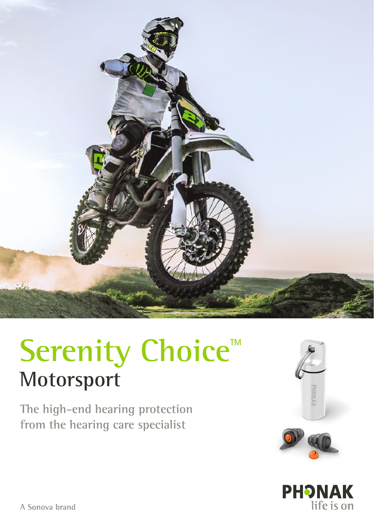

## Serenity Choice<sup>™</sup> **Motorsport**

**The high-end hearing protection from the hearing care specialist**